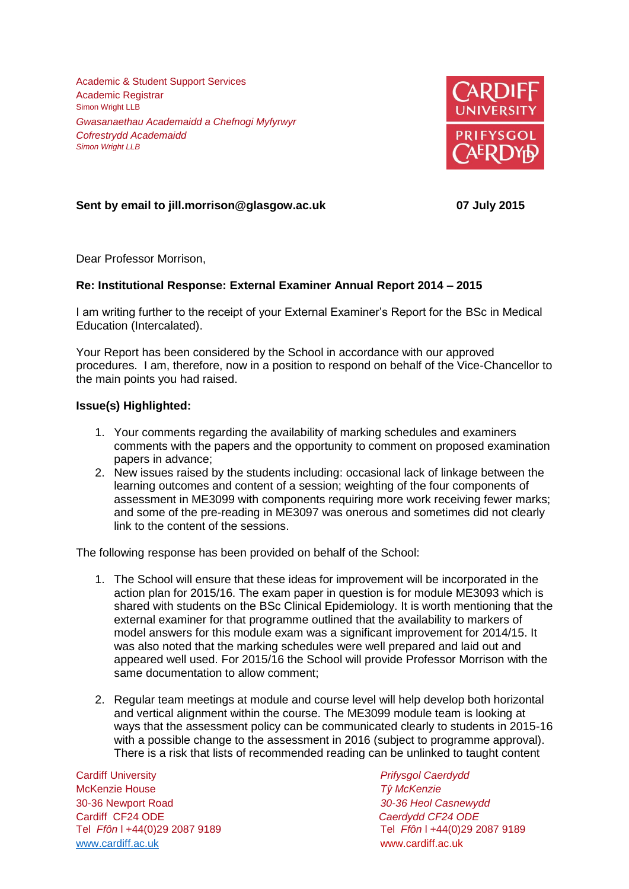Academic & Student Support Services Academic Registrar Simon Wright LLB *Gwasanaethau Academaidd a Chefnogi Myfyrwyr Cofrestrydd Academaidd Simon Wright LLB*



## **Sent by email to jill.morrison@glasgow.ac.uk 07 July 2015**

Dear Professor Morrison,

## **Re: Institutional Response: External Examiner Annual Report 2014 – 2015**

I am writing further to the receipt of your External Examiner's Report for the BSc in Medical Education (Intercalated).

Your Report has been considered by the School in accordance with our approved procedures. I am, therefore, now in a position to respond on behalf of the Vice-Chancellor to the main points you had raised.

## **Issue(s) Highlighted:**

- 1. Your comments regarding the availability of marking schedules and examiners comments with the papers and the opportunity to comment on proposed examination papers in advance;
- 2. New issues raised by the students including: occasional lack of linkage between the learning outcomes and content of a session; weighting of the four components of assessment in ME3099 with components requiring more work receiving fewer marks; and some of the pre-reading in ME3097 was onerous and sometimes did not clearly link to the content of the sessions.

The following response has been provided on behalf of the School:

- 1. The School will ensure that these ideas for improvement will be incorporated in the action plan for 2015/16. The exam paper in question is for module ME3093 which is shared with students on the BSc Clinical Epidemiology. It is worth mentioning that the external examiner for that programme outlined that the availability to markers of model answers for this module exam was a significant improvement for 2014/15. It was also noted that the marking schedules were well prepared and laid out and appeared well used. For 2015/16 the School will provide Professor Morrison with the same documentation to allow comment;
- 2. Regular team meetings at module and course level will help develop both horizontal and vertical alignment within the course. The ME3099 module team is looking at ways that the assessment policy can be communicated clearly to students in 2015-16 with a possible change to the assessment in 2016 (subject to programme approval). There is a risk that lists of recommended reading can be unlinked to taught content

Cardiff University *Prifysgol Caerdydd* McKenzie House *Tŷ McKenzie* 30-36 Newport Road *30-36 Heol Casnewydd* Tel *Ffôn* l +44(0)29 2087 9189 Tel *Ffôn* l +44(0)29 2087 9189 [www.cardiff.ac.uk](http://www.cardiff.ac.uk/) www.cardiff.ac.uk

Cardiff CF24 ODE *Caerdydd CF24 ODE*